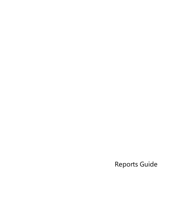Reports Guide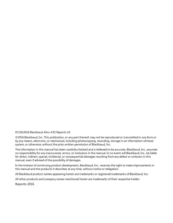#### 07/20/2016 Blackbaud Altru 4.91 Reports US

©2016 Blackbaud, Inc. This publication, or any part thereof, may not be reproduced or transmitted in any form or by any means, electronic, or mechanical, including photocopying, recording, storage in an information retrieval system, or otherwise, without the prior written permission of Blackbaud, Inc.

The information in this manual has been carefully checked and is believed to be accurate. Blackbaud, Inc., assumes no responsibility for any inaccuracies, errors, or omissions in this manual. In no event will Blackbaud, Inc., be liable for direct, indirect, special, incidental, or consequential damages resulting from any defect or omission in this manual, even if advised of the possibility of damages.

In the interest of continuing product development, Blackbaud, Inc., reserves the right to make improvements in this manual and the products it describes at any time, without notice or obligation.

All Blackbaud product names appearing herein are trademarks or registered trademarks of Blackbaud, Inc.

All other products and company names mentioned herein are trademarks of their respective holder.

Reports-2016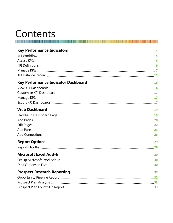# Contents

| Web Dashboard manufactured and the Dashboard manufactured and the manufactured and the Dashboard manufactured and the Dashboard manufactured and the Dashboard manufactured and the Dashboard manufactured and the Dashboard m |  |
|--------------------------------------------------------------------------------------------------------------------------------------------------------------------------------------------------------------------------------|--|
|                                                                                                                                                                                                                                |  |
|                                                                                                                                                                                                                                |  |
|                                                                                                                                                                                                                                |  |
|                                                                                                                                                                                                                                |  |
|                                                                                                                                                                                                                                |  |
|                                                                                                                                                                                                                                |  |
|                                                                                                                                                                                                                                |  |
|                                                                                                                                                                                                                                |  |
|                                                                                                                                                                                                                                |  |
|                                                                                                                                                                                                                                |  |
|                                                                                                                                                                                                                                |  |
|                                                                                                                                                                                                                                |  |
|                                                                                                                                                                                                                                |  |
|                                                                                                                                                                                                                                |  |
|                                                                                                                                                                                                                                |  |
|                                                                                                                                                                                                                                |  |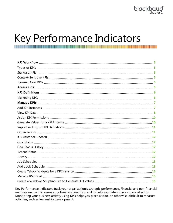# <span id="page-3-0"></span>Key Performance Indicators

Key Performance Indicators track your organization's strategic performance. Financial and non-financial matrices are used to assess your business condition and to help you determine a course of action. Monitoring your business activity using KPIs helps you place a value on otherwise difficult to measure activities, such as leadership development.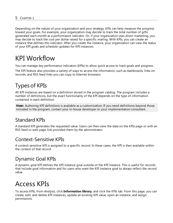Depending on the nature of your organization and your strategy, KPIs can help measure the progress toward your goals. For example, your organization may decide to track the total number of gifts generated each month as a performance indicator. Or, if your organization uses direct marketing, you may decide to track the cost per dollar raised for a specific mailing. With KPIs, you can create an instance that defines this indicator. After you create the instance, your organization can view the status of your KPI goals and schedule updates for KPI instances.

# <span id="page-4-0"></span>KPI Workflow

You can manage key performance indicators (KPIs) to allow quick access to track goals and progress.

The KPI feature also provides a variety of ways to access the information, such as dashboards, links on records, and RSS feed links you can copy to Internet browsers.

## <span id="page-4-2"></span>Types of KPIs

All KPI instances are based on a definition stored in the program catalog. The program includes a number of definitions, but the exact functionality of the KPI depends on the type of information contained in each definition.

*Note:* Authoring KPI definitions is available as a customization. If you need definitions beyond those included in the program, contact your in-house developer or your implementation consultant.

## <span id="page-4-3"></span>Standard KPIs

A standard KPI generates the requested value. Users can then view the data on the KPIs page or with an RSS feed or web page link provided them by the administrator.

## <span id="page-4-4"></span>Context-Sensitive KPIs

A context-sensitive KPI is assigned to a specific record. In these cases, the KPI is then available within the context of that record.

## <span id="page-4-5"></span>Dynamic Goal KPIs

A dynamic goal KPI defines the KPI instance goal outside of the KPI instance. This is useful for records that include goal information and for users who want the KPI instance goal to always reflect the record value.

# <span id="page-4-1"></span>Access KPIs

To access KPIs, from *Analysis*, click **Information library**, and click the KPIs tab. From this page, you can create, edit, and delete KPI instances, update an existing KPI value, open an instance, and assign permissions.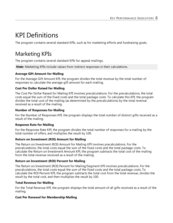# <span id="page-5-0"></span>KPI Definitions

<span id="page-5-1"></span>The program contains several standard KPIs, such as for marketing efforts and fundraising goals.

## Marketing KPIs

The program contains several standard KPIs for appeal mailings.

*Note:* Marketing KPIs include values from indirect responses in their calculations.

#### **Average Gift Amount for Mailing**

For the Average Gift Amount KPI, the program divides the total revenue by the total number of responses to calculate the average gift amount for each mailing.

#### **Cost Per Dollar Raised for Mailing**

The Cost Per Dollar Raised for Mailing KPI involves precalculations. For the precalculations, the total costs equal the sum of the fixed costs and the total package costs. To calculate this KPI, the program divides the total cost of the mailing (as determined by the precalculations) by the total revenue received as a result of the mailing.

#### **Number of Responses for Mailing**

For the Number of Responses KPI, the program displays the total number of distinct gifts received as a result of the mailing.

#### **Response Rate for Mailing**

For the Response Rate KPI, the program divides the total number of responses for a mailing by the total number of offers, and multiplies the result by 100.

#### **Return on Investment (ROI) Amount for Mailing**

The Return on Investment (ROI) Amount for Mailing KPI involves precalculations. For the precalculations, the total costs equal the sum of the fixed costs and the total package costs. To calculate the Return on Investment Amount KPI, the program subtracts the total cost of the mailing from the total revenue received as a result of the mailing.

#### **Return on Investment (ROI) Percent for Mailing**

The Return on Investment (ROI) Percent for Mailing/Segment KPI involves precalculations. For the precalculations, the total costs equal the sum of the fixed costs and the total package costs. To calculate the ROI Percent KPI, the program subtracts the total cost from the total revenue, divides the result by the total cost, and then multiplies the result by 100.

#### **Total Revenue for Mailing**

For the Total Revenue KPI, the program displays the total amount of all gifts received as a result of the mailing.

#### **Cost Per Renewal for Membership Mailing**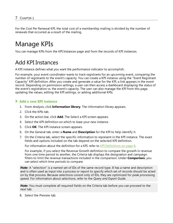<span id="page-6-0"></span>For the Cost Per Renewal KPI, the total cost of a membership mailing is divided by the number of renewals that occurred as a result of the mailing.

# Manage KPIs

<span id="page-6-1"></span>You can manage KPIs from the KPI Instances page and from the records of KPI instances.

## Add KPI Instances

A KPI instance defines what you want the performance indicator to accomplish.

For example, your event coordinator wants to track registrants for an upcoming event, comparing the number of registrants to the event's capacity. You can create a KPI instance using the "Event Registrant Capacity" KPI definition. After you create and generate a value for the KPI, a link appears in the event record. Depending on permission settings, a user can then access a dashboard displaying the status of the event's registration vs. the event's capacity. The user can also manage the KPI from this page, updating the values, editing the KPI settings, or adding additional KPIs.

#### <span id="page-6-2"></span>**Add a new KPI instance**

- 1. From *Analysis*, click **Information library**. The information library appears.
- 2. Click the KPIs tab.
- 3. On the action bar, click **Add**. The Select a KPI screen appears.
- 4. Select the KPI definition on which to base your new instance.
- 5. Click **OK**. The KPI instance screen appears.
- 6. On the General tab, enter a **Name** and **Description** for the KPI to help identify it.
- 7. On the Criteria tab, select the specific information to represent in the KPI instance. The exact fields and options included on the tab depend on the selected KPI definition.

For information about the definition for a KPI, refer to KPI [Definitions](#page-5-0) on page 6.

For example, if you select the Revenue Growth definition to compare the growth in revenue from one time period to another, the Criteria tab displays the designation and campaign filters to limit the revenue transactions included in the comparison. Under **Comparison**, you can select which time periods to compare.

**Note:** A "selection" is a named set of IDs of the same record type. It has a name and description and is often used as input into a process or report to specify which set of records should be acted on by that process. Because selections consist only of IDs, they are optimized for peak processing speed. For information about selections, refer to the *Query and Export Guide*.

*Note:* You must complete all required fields on the Criteria tab before you can proceed to the next tab.

8. Select the Preview tab.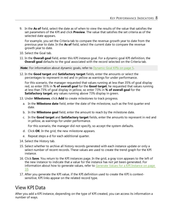9. In the **As of** field, select the date as of when to view the results of the value that satisfies the set parameters of the KPI and click **Preview**. The value that satisfies the set criteria as of the selected date appears.

For example, you set the Criteria tab to compare the revenue growth year to date from the previous year to date. In the **As of** field, select the current date to compare the revenue growth year to date.

- 10. Select the Goal tab.
- 11. In the **Overall goal** field, enter this KPI instance goal. For a dynamic goal KPI definition, the **Overall goal** defaults to the goal associated with the record selected on the Criteria tab.

**Note:** For information about dynamic goals, refer to [Dynamic](#page-4-5) Goal KPIs on page 5.

12. In the **Good target** and **Satisfactory target** fields, enter the amounts or select the percentages to represent in red and in yellow as warnings for under performance.

For this scenario, the manager requested that values running at less than 35% of goal display red, so enter 35% in **% of overall goal** for the **Good target**; he requested that values running at less than 73% of goal display in yellow, so enter 73% in **% of overall goal** for the **Satisfactory target**; any values running above 73% display in green.

- 13. Under **Milestones**, click **Add** to create milestones to track progress.
	- a. In the **Milestone date** field, enter the date of the milestone, such as the first quarter end date.
	- b. In the **Milestone goal** field, enter the amount to reach by the milestone date.
	- c. In the **Good target** and **Satisfactory target** fields, enter the amounts to represent in red and in yellow, as warnings for under performance.

For this scenario, the manager did not specify, so accept the system defaults.

- d. Click **OK**. In the grid, the new milestone appears.
- e. Repeat steps a-d for each additional quarter.
- 14. Select the History tab.
- 15. Select whether to archive all history records generated with each instance update or only a select number of recent records. These values are used to create the trend graph for the KPI instance.
- 16. Click **Save**. You return to the KPI instances page. In the grid, a gray icon appears to the left of the new instance to indicate that a value for the ins[tance has not yet been generated. For](#page-9-1) information about how to generate values, refer to Generate Values for a KPI Instance on page [10.](#page-9-1)
- 17. After you generate the KPI value, if the KPI definition used to create the KPI is contextsensitive, KPI links appear on the related record type.

### <span id="page-7-0"></span>View KPI Data

After you add a KPI instance, depending on the type of KPI created, you can access its information a number of ways.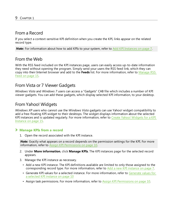### From a Record

If you select a context-sensitive KPI definition when you create the KPI, links appear on the related record type.

*Note:* For information about how to add KPIs to your system, refer to Add KPI [Instances](#page-6-1) on page 7.

### From the Web

With the RSS feed included on the KPI instances page, users can easily access up-to-date information they need without opening the program. Simply send your users the RSS feed link, which they can copy into their Internet browser and add to the **Feeds** list. For more information, refer to [Manage](#page-14-1) RSS Feed on [page](#page-14-1) 15.

### From Vista or 7 Viewer Gadgets

*Windows Vista* and *Windows 7* users can access a "Gadgets" CAB file which includes a number of KPI viewer gadgets. You can add these gadgets, which display selected KPI information, to your desktop.

### From Yahoo! Widgets

*Windows XP* users who cannot use the *Windows Vista* gadgets can use Yahoo! widget compatibility to add a free-floating KPI widget to their desktops. The widget displays information about the selected KPI instances and is updated regularly. For more information, refer to Create Yahoo! [Widgets](#page-14-0) for a KPI [Instance](#page-14-0) on page 15.

#### **Manage KPIs from a record**

1. Open the record associated with the KPI instance.

*Note:* Exactly what appears on a record depends on the permission settings for the KPI. For more information, refer to Assign KPI [Permissions](#page-9-0) on page 10.

- 2. Under **More information**, click **Manage KPIs**. The KPI instances page for the selected record appears.
- 3. Manage the KPI instance as necessary.
	- Add a new KPI instance. The KPI definitions available areli[mited to only those assigned to the](#page-6-2) corresponding record type. For more information, refer to Add a new KPI instance on page 7.
	- • [Generate KPI values for a selected i](#page-9-2)nstance. For more information, refer to [Generate](#page-9-2) values for a selected KPI instance on page 10
	- Assign task permissions. For more information, refer to Assign KPI [Permissions](#page-9-0) on page 10.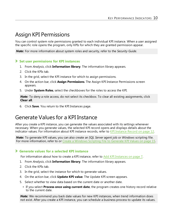## <span id="page-9-0"></span>Assign KPI Permissions

You can control system role permissions granted to each individual KPI instance. When a user assigned the specific role opens the program, only KPIs for which they are granted permission appear.

*Note:* For more information about system roles and security, refer to the *Security Guide*.

#### **Set user permissions for KPI instances**

- 1. From *Analysis*, click **Information library**. The information library appears.
- 2. Click the KPIs tab.
- 3. In the grid, select the KPI instance for which to assign permissions.
- 4. On the action bar, click **Assign Permissions**. The Assign KPI Instance Permissions screen appears.
- 5. Under **System Roles**, select the checkboxes for the roles to access the KPI.

**Note:** To deny a role access, do not select its checkbox. To clear all existing assignments, click **Clear all**.

<span id="page-9-1"></span>6. Click **Save**. You return to the KPI Instances page.

## Generate Values for a KPI Instance

After you create a KPI instance, you can generate the values associated with its settings whenever necessary. When you generate values, the selected KPI record opens and displays details about the indicator values. For information about KPI instance records, refer to KPI [Instance](#page-11-0) Record on page 12.

*Note:* To generate KPI values, you can also create an *SQL Server* agent job or *Windows* scripting file. For more information, refer to or Create a [Windows](#page-14-2) Scripting File to Generate KPI Values on page 15.

#### <span id="page-9-2"></span>**Generate values for a selected KPI instance**

For information about how to create a KPI instance, refer to Add KPI [Instances](#page-6-1) on page 7.

- 1. From *Analysis*, click **Information library**. The information library appears.
- 2. Click the KPIs tab.
- 3. In the grid, select the instance for which to generate values.
- 4. On the action bar, click **Update KPI value**. The Update KPI screen appears.
- 5. Select whether to view data based on the current date or another date.
	- If you select **Process once using current date**, the program creates one history record relative to the current date.

*Note:* We recommend you back date values for new KPI instances, when trend information does not exist. After you create a KPI instance, you can schedule a business process to update its values.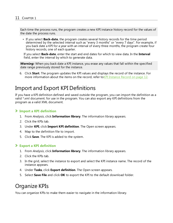Each time the process runs, the program creates a new KPI instance history record for the values of the date the process runs.

• If you select **Back-date**, the program creates several history records for the time period determined by the selected interval such as "every 3 months" or "every 7 days". For example, if you back date a KPI for a year with an interval of every three months, the program create four history records, one of each quarter.

If you select **Back-date**, enter the start and end dates for which to view data. In the **Interval** field, enter the interval by which to generate data.

*Warning:* When you back date a KPI instance, you erase any values that fall within the specified date range previously stored for the instance.

6. Click **Start**. The program updates the KPI values and displays the record of the instance. For more information about the items on the record, refer to KPI [Instance](#page-11-0) Record on page 12.

## <span id="page-10-0"></span>Import and Export KPI Definitions

If you have a KPI definition defined and saved outside the program, you can import the definition as a valid \*.xml document. for use in the program. You can also export any KPI definitions from the program as a valid XML document.

#### **Import a KPI definition**

- 1. From *Analysis*, click **Information library**. The information library appears.
- 2. Click the KPIs tab.
- 3. Under **KPI**, click **Import KPI definition**. The Open screen appears.
- 4. Map to the definition file to import.
- 5. Click **Save**. The KPI is added to the system.

#### **Export a KPI definition**

- 1. From *Analysis*, click **Information library**. The information library appears.
- 2. Click the KPIs tab.
- 3. In the grid, select the instance to export and select the KPI instance name. The record of the instance appears.
- 4. Under **Tasks**, click **Export definition**. The Open screen appears.
- <span id="page-10-1"></span>5. Select **Save File** and click **OK** to export the KPI to the default download folder.

## Organize KPIs

You can organize KPIs to make them easier to navigate in the information library.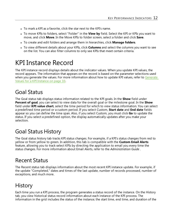- To mark a KPI as a favorite, click the star next to the KPI's name.
- To move KPIs to folders, select "Folder" in the **View by** field. Select the KPI or KPIs you want to move, and click **Move**. In the Move KPIs to folder screen, select a folder and click **Save**.
- <sup>l</sup> To create and edit folders and arrange them in hierarchies, click **Manage folders**.
- <sup>l</sup> To view different details about your KPIs, click **Columns** and select the columns you want to see on the list. You can also filter columns to only see KPIs that meet certain criteria.

## <span id="page-11-0"></span>KPI Instance Record

The KPI instance record displays details about the indicator values. When you update KPI values, the record appears. The information that appears on the record is based on the parameter selections used when you generate the values. For more information about how to update KPI values, refer to [Generate](#page-9-1) Values for a KPI [Instance](#page-9-1) on page 10.

## <span id="page-11-1"></span>Goal Status

The Goal status tab displays status information related to the KPI goals. In the **Show** field under **Percent of goal**, you can select to view data for the overall goal or the milestone goal. In the **Show** field under **KPI value chart**, select the time period for which to view status information. You can select a predefined time period or a custom period. If you select Custom, **Start date** and **End date** fields appear so you can define the time span. Also, if you select Custom, you must click **Go** to update the status. If you select a predefined option, the display automatically updates after you make your selection.

## <span id="page-11-2"></span>Goal Status History

The Goal status history tab tracks KPI status changes. For example, if a KPI's status changes from red to yellow or from yellow to green. In addition, this tab is compatible with the **Custom Email Alerts** feature, allowing you to track select KPIs by directing the application to email you every time the status changes. For more information about Email Alerts, refer to the *Administration Guide* .

## <span id="page-11-3"></span>Recent Status

The Recent status tab displays information about the most recent KPI instance update. For example, if the update "Completed," dates and times of the last update, number of records processed, number of exceptions, and much more.

## <span id="page-11-4"></span>**History**

Each time you run a KPI process, the program generates a status record of the instance. On the History tab, you view historical status record information about each instance of the KPI process. The information in the grid includes the status of the instance; the start time, end time, and duration of the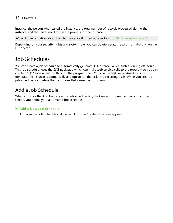#### 13 CHAPTER 1

instance; the person who started the instance; the total number of records processed during the instance; and the server used to run the process for the instance.

**Note:** For information about how to create a KPI instance, refer to Add KPI [Instances](#page-6-1) on page 7.

Depending on your security rights and system role, you can delete a status record from the grid on the History tab.

## <span id="page-12-0"></span>Job Schedules

You can create a job schedule to automatically generate KPI instance values, such as during off-hours. This job scheduler uses the SSIS packages, which can make web service calls to the program so you can create a *SQL Server Agent* job through the program shell. You can use *SQL Server Agent* jobs to generate KPI instances automatically and opt to run the task on a recurring basis. When you create a job schedule, you define the conditions that cause the job to run.

### <span id="page-12-1"></span>Add a Job Schedule

When you click the **Add** button on the Job schedule tab, the Create job screen appears. From this screen, you define your automated job schedule.

#### **Add a New Job Schedule**

1. From the Job Schedules tab, select **Add**. The Create job screen appears.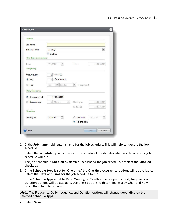| <b>Details</b>             |                              |                              |                      |
|----------------------------|------------------------------|------------------------------|----------------------|
| Job name:                  |                              |                              |                      |
| Schedule type:             | Monthly                      |                              | v                    |
|                            | <b>V</b> Enabled             |                              |                      |
| <b>One-time occurrence</b> |                              |                              |                      |
| Date:                      | $\Box$<br>7/31/2014          | Time:                        | 12:17:40 PM          |
| Frequency                  |                              |                              |                      |
| Occurs every:              | month(s)<br>$\mathbf{1}$     |                              |                      |
|                            |                              |                              |                      |
| O Day:                     | of the month<br>$\mathbf{1}$ |                              |                      |
| The:<br>6                  | $\checkmark$<br>First        | of the month<br>$\checkmark$ |                      |
|                            | Sunday                       |                              |                      |
| <b>Daily frequency</b>     |                              |                              |                      |
| Occurs once at:<br>$\odot$ | 12:17:40 PM                  |                              |                      |
| Occurs every:<br>◎         | ×<br>Minutes<br>ī            | Starting at:                 | 12:17:40 PM          |
|                            |                              | Ending at:                   | 12:17:41 PM          |
| <b>Duration</b>            |                              |                              |                      |
| Starting at:               | ⊡<br>7/31/2014               | End date:                    | 7/31/2014<br>$\circ$ |

- 2. In the **Job name** field, enter a name for the job schedule. This will help to identify the job schedule.
- 3. Select the **Schedule type** for the job. The schedule type dictates when and how often a job schedule will run.
- 4. The job schedule is **Enabled** by default. To suspend the job schedule, deselect the **Enabled** checkbox.
- 5. If the **Schedule type** is set to "One time," the One-time occurrence options will be available. Select the **Date** and **Time** for the job schedule to run.
- 6. If the **Schedule type** is set to Daily, Weekly, or Monthly, the Frequency, Daily frequency, and Duration options will be available. Use these options to determine exactly when and how often the schedule will run.

*Note:* The Frequency, Daily frequency, and Duration options will change depending on the selected **Schedule type**.

7. Select **Save**.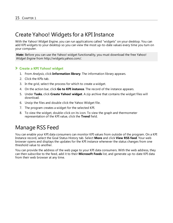## <span id="page-14-0"></span>Create Yahoo! Widgets for a KPI Instance

With the Yahoo! *Widget Engine*, you can run applications called "widgets" on your desktop. You can add KPI widgets to your desktop so you can view the most up-to-date values every time you turn on your computer.

**Note:** Before you can use the Yahoo! widget functionality, you must download the free Yahoo! *Widget Engine* from http://widgets.yahoo.com/.

#### **Create a KPI Yahoo! widget**

- 1. From *Analysis*, click **Information library**. The information library appears.
- 2. Click the KPIs tab.
- 3. In the grid, select the process for which to create a widget.
- 4. On the action bar, click **Go to KPI instance**. The record of the instance appears.
- 5. Under **Tasks**, click **Create Yahoo! widget**. A zip archive that contains the widget files will download.
- 6. Unzip the files and double click the Yahoo Widget file.
- 7. The program creates a widget for the selected KPI.
- 8. To view the widget, double-click on its icon. To view the graph and thermometer representation of the KPI value, click the **Trend** field.

## <span id="page-14-1"></span>Manage RSS Feed

You can enable your KPI data consumers can monitor KPI values from outside of the program. On a KPI Instance record, select the Goal Status History tab. Select **More** and click **View RSS feed**. Your web browser opens and displays the updates for the KPI instance whenever the status changes from one threshold value to another.

<span id="page-14-2"></span>You can provide the address of the web page to your KPI data consumers. With the web address, they can then subscribe to the feed, add it to their **Microsoft Feeds** list, and generate up-to-date KPI data from their web browser at any time.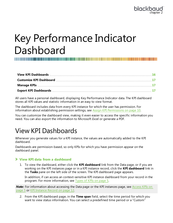# <span id="page-15-0"></span>Key Performance Indicator Dashboard

All users have a personal dashboard, displaying Key Performance Indicator data. The KPI dashboard stores all KPI values and statistic information in an easy to view format.

The dashboard includes data from every KPI instance for which the user has permission. For information about establishing permission settings, see Assign KPI [Permissions](#page-9-0) on page 10.

<span id="page-15-1"></span>You can customize the dashboard view, making it even easier to access the specific information you need. You can also export the information to Microsoft *Excel* or generate a PDF.

# View KPI Dashboards

Whenever you generate values for a KPI instance, the values are automatically added to the KPI dashboard.

Dashboards are permission-based, so only KPIs for which you have permission appear on the dashboard panel.

#### **View KPI data from a dashboard**

1. To view the dashboard, either click the **KPI dashboard** link from the Data page, or if you are working on the KPI instances page or in a KPI instance record, click the **KPI dashboard** link in the **Tasks** pane on the left side of the screen. The KPI dashboard page appears.

In addition, if can access an context-sensitive KPI instance dashboard from your record in the program. For more information, see [Types](#page-4-2) of KPIs on page 5.

**Note:** For information about accessing the Data page or the KPI instances page, see [Access](#page-4-1) KPIs on [page](#page-4-1) 5 or KPI [Instance](#page-11-0) Record on page 12.

2. From the KPI dashboard page, in the **Time span** field, select the time period for which you want to view status information. You can select a predefined time period or a "Custom"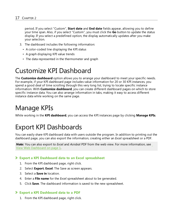period. If you select "Custom", **Start date** and **End date** fields appear, allowing you to define your time span. Also, if you select "Custom", you must click the **Go** button to update the status display. If you select a predefined option, the display automatically updates after you make your selection.

- 3. The dashboard includes the following information:
	- A color-coded line displaying the KPI status
	- A graph displaying KPI value trends
	- The data represented in the thermometer and graph

## <span id="page-16-0"></span>Customize KPI Dashboard

The **Customize dashboard** option allows you to arrange your dashboard to meet your specific needs. For example, if your KPI dashboard page includes value information for 20 or 30 KPI instances, you spend a good deal of time scrolling through this very long list, trying to locate specific instance information. With **Customize dashboard**, you can create different dashboard pages on which to store specific instance data. You can also arrange information in tabs, making it easy to access different instance data while working on the same page.

# <span id="page-16-1"></span>Manage KPIs

<span id="page-16-2"></span>While working in the **KPI dashboard**, you can access the KPI instances page by clicking **Manage KPIs**.

## Export KPI Dashboards

You can easily share KPI dashboard data with users outside the program. In addition to printing out the dashboard page, you can also export the information, creating either an *Excel* spreadsheet or a PDF.

*Note:* You can also export to *Excel* and *Acrobat* PDF from the web view. For more information, see View Web Dashboard on page 1.

#### **Export a KPI Dashboard data to an Excel spreadsheet**

- 1. From the KPI dashboard page, right click.
- 2. Select **Export**, **Excel**. The Save as screen appears.
- 3. Select a **Save in** location.
- 4. Enter a **File name** for the *Excel* spreadsheet about to be generated.
- 5. Click **Save**. The dashboard information is saved to the new spreadsheet.

#### **Export a KPI Dashboard data to a PDF**

1. From the KPI dashboard page, right click.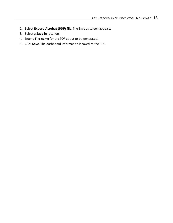- 2. Select **Export**, **Acrobat (PDF) file**. The Save as screen appears.
- 3. Select a **Save in** location.
- 4. Enter a **File name** for the PDF about to be generated.
- 5. Click **Save**. The dashboard information is saved to the PDF.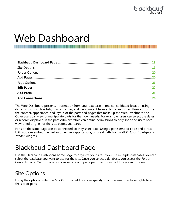# <span id="page-18-0"></span>Web Dashboard

The Web Dashboard presents information from your database in one consolidated location using dynamic tools such as lists, charts, gauges, and web content from external web sites. Users customize the content, appearance, and layout of the parts and pages that make up the Web Dashboard site. Other users can view or manipulate parts for their own needs. For example, users can select the dates or records displayed in the part. Administrators can define permissions so only specified users have view or edit rights for the site, pages, and parts.

Parts on the same page can be connected so they share data. Using a part's embed code and direct URL, you can embed the part in other web applications, or use it with Microsoft *Vista* or *7* gadgets or *Yahoo!* widgets.

# <span id="page-18-1"></span>Blackbaud Dashboard Page

Use the Blackbaud Dashboard home page to organize your site. If you use multiple databases, you can select the database you want to use for the site. Once you select a database, you access the Folder Contents page. On this page you can set site and page permissions and add pages and folders.

## <span id="page-18-2"></span>Site Options

Using the options under the **Site Options** field, you can specify which system roles have rights to edit the site or parts.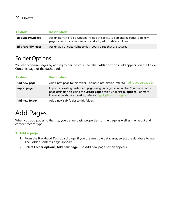| <b>Option</b>               | <b>Description</b>                                                                                                                                     |
|-----------------------------|--------------------------------------------------------------------------------------------------------------------------------------------------------|
| <b>Edit Site Privileges</b> | Assign rights to roles. Options include the ability to personalize pages, add new<br>pages, assign page permissions, and add, edit, or delete folders. |
| <b>Edit Part Privileges</b> | Assign add or edits rights to dashboard parts that are secured.                                                                                        |

## <span id="page-19-1"></span>Folder Options

You can organize pages by adding folders to your site. The **Folder options** field appears on the Folder Contents page of the dashboard.

| <b>Option</b>      | <b>Description</b>                                                                                                                                                                                                                   |
|--------------------|--------------------------------------------------------------------------------------------------------------------------------------------------------------------------------------------------------------------------------------|
| Add new page       | Add a new page to this folder. For more information, refer to Add Pages on page 20.                                                                                                                                                  |
| <b>Import page</b> | Import an existing dashboard page using an page definition file. You can export a<br>page definition file using the Export page option under Page options. For more<br>information about exporting, refer to Page Options on page 21 |
| Add new folder     | Add a new sub-folder to this folder.                                                                                                                                                                                                 |

# <span id="page-19-0"></span>Add Pages

When you add pages to the site, you define basic properties for the page as well as the layout and context record type.

#### **Add a page**

- 1. From the Blackbaud Dashboard page, if you use multiple databases, select the database to use. The Folder Contents page appears.
- 2. Select **Folder options**, **Add new page**. The Add new page screen appears.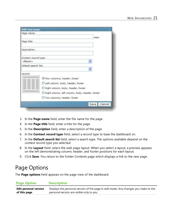| <b>Add new page</b>                  |                                                 |
|--------------------------------------|-------------------------------------------------|
| Page name:                           |                                                 |
| Page title:                          | .aspx                                           |
| Description:                         |                                                 |
| Context record type:                 |                                                 |
| $<$ None $>$<br>Default search list: |                                                 |
| Layout:                              |                                                 |
|                                      | Four columns, header, footer                    |
|                                      | C Left column, body, header, footer             |
|                                      | Right column, body, header, footer              |
|                                      | Right column, left column, body, header, footer |
|                                      | O Two columns, header, footer                   |
|                                      | Cancel<br>Save                                  |

- 3. In the **Page name** field, enter the file name for the page.
- 4. In the **Page title** field, enter a title for the page.
- 5. In the **Description** field, enter a description of the page.
- 6. In the **Context record type** field, select a record type to base the dashboard on.
- 7. In the **Default search list** field, select a search type. The options available depend on the context record type you selected.
- 8. In the **Layout** field, select the web page layout. When you select a layout, a preview appears on the left demonstrating column, header, and footer positions for each layout.
- <span id="page-20-0"></span>9. Click **Save**. You return to the Folder Contents page which displays a link to the new page.

## Page Options

The **Page options** field appears on the page view of the dashboard.

#### **Page Option Description**

| <b>Edit personal version</b> | Displays the personal version of the page in edit mode. Any changes you make to the |
|------------------------------|-------------------------------------------------------------------------------------|
| of this page                 | personal version are visible only to you.                                           |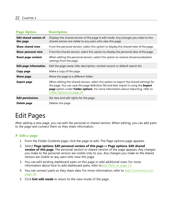| <b>Page Option</b>                         | <b>Description</b>                                                                                                                                                                                                                                                                              |
|--------------------------------------------|-------------------------------------------------------------------------------------------------------------------------------------------------------------------------------------------------------------------------------------------------------------------------------------------------|
| <b>Edit shared version of</b><br>this page | Displays the shared version of the page in edit mode. Any changes you make to the<br>shared version are visible to any users who view this page.                                                                                                                                                |
| Show shared view                           | From the personal version, select this option to display the shared view of the page.                                                                                                                                                                                                           |
| Show personal view                         | From the shared version, select this option to display the personal view of the page.                                                                                                                                                                                                           |
| <b>Reset page content</b>                  | When editing the personal version, select this option to remove all personalization<br>settings from the page.                                                                                                                                                                                  |
| <b>Edit page information</b>               | Edit the page name, title, description, context record, or default search list.                                                                                                                                                                                                                 |
| Copy page                                  | Make a copy of the page.                                                                                                                                                                                                                                                                        |
| Move page                                  | Move the page to a different folder.                                                                                                                                                                                                                                                            |
| <b>Export page</b>                         | When editing the shared version, select this option to export the shared settings for<br>the page. You can save the page definition file and later import it using the Import<br>page option under Folder options. For more information about importing, refer to<br>Folder Options on page 20. |
| <b>Edit permissions</b>                    | Set view and edit rights for the page.                                                                                                                                                                                                                                                          |
| Delete page                                | Deletes the page.                                                                                                                                                                                                                                                                               |

# <span id="page-21-0"></span>Edit Pages

After adding a new page, you can edit the personal or shared version. When editing, you can add parts to the page and connect them so they share information.

#### **Edit a page**

- 1. From the Folder Contents page, click the page to edit. The Page options page appears.
- 2. Select **Page options**, **Edit personal version of this page** or **Page options**, **Edit shared version of this page**. The personal version or shared version of the page appears. Any changes you make to the personal version are visible only to you. Any changes you make to the shared version are visible to any users who view this page.
- 3. You can edit existing dashboard parts on this page or add additional ones. For more informationabout how to add dashboard parts, refer to [Add](#page-22-0) Parts on page 23.
- 4. You can connect parts so they share data. For more information, refer to Add [Connections](#page-25-0) on [page](#page-25-0) 26.
- 5. Click **Exit edit mode** to return to the view mode of the page.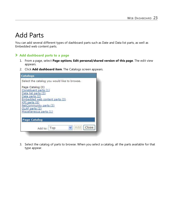## <span id="page-22-0"></span>Add Parts

You can add several different types of dashboard parts such as Date and Data list parts, as well as Embedded web content parts.

#### **Add dashboard parts to a page**

- 1. From a page, select **Page options**, **Edit personal/shared version of this page**. The edit view appears.
- 2. Click **Add dashboard item**. The Catalogs screen appears.

| <b>Catalogs</b>                                                                                                                                                                                                                                              |       |
|--------------------------------------------------------------------------------------------------------------------------------------------------------------------------------------------------------------------------------------------------------------|-------|
| Select the catalog you would like to browse.<br>Page Catalog (0)<br>Constituent parts (1)<br>Data list parts (3)<br>Date parts (2)<br>Embedded web content parts (3)<br>KPI parts (8)<br>NetCommunity parts (3)<br>OLAP parts (2)<br>Miscellaneous parts (1) |       |
| <b>Page Catalog</b>                                                                                                                                                                                                                                          |       |
| Add<br>Add to:   Top                                                                                                                                                                                                                                         | Close |

3. Select the catalog of parts to browse. When you select a catalog, all the parts available for that type appear.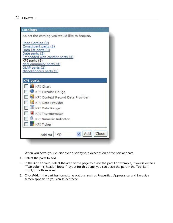| <b>Catalogs</b>                                                                                                                                                                                              |
|--------------------------------------------------------------------------------------------------------------------------------------------------------------------------------------------------------------|
| Select the catalog you would like to browse.                                                                                                                                                                 |
| Page Catalog (0)<br>Constituent parts (1)<br>Data list parts (3)<br>Date parts (2)<br>Embedded web content parts (3)<br>KPI parts (8)<br>NetCommunity parts (3)<br>OLAP parts (2)<br>Miscellaneous parts (1) |
| <b>KPI</b> parts                                                                                                                                                                                             |
| <b>KPI</b> Chart                                                                                                                                                                                             |
| KPI Circular Gauge                                                                                                                                                                                           |
| KPI Context Record Data Provider                                                                                                                                                                             |
| <b>KPI Data Provider</b>                                                                                                                                                                                     |
| KPI Date Range                                                                                                                                                                                               |
| KPI Thermometer                                                                                                                                                                                              |
| KPI Numeric Indicator                                                                                                                                                                                        |
| <b>KPI Ticker</b>                                                                                                                                                                                            |
| Close<br>Add<br>Top<br>Add to:                                                                                                                                                                               |

When you hover your cursor over a part type, a description of the part appears.

- 4. Select the parts to add.
- 5. In the **Add to** field, select the area of the page to place the part. For example, if you selected a "Two columns, header, footer" layout for this page, you can place the part in the Top, Left, Right, or Bottom zone.
- 6. Click **Add**. If the part has formatting options, such as Properties, Appearance, and Layout, a screen appears so you can select these.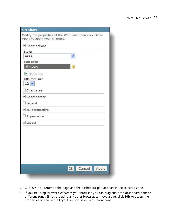| <b>KPI</b> chart                                                                        |
|-----------------------------------------------------------------------------------------|
| Modify the properties of the Web Part, then click OK or<br>Apply to apply your changes. |
| $\Box$ Chart options                                                                    |
| Style:                                                                                  |
| Area                                                                                    |
| Text color:                                                                             |
| DimGray                                                                                 |
| Show title                                                                              |
| Title font size:<br>$12 \times$                                                         |
| + Chart area                                                                            |
| + Chart border                                                                          |
| + Legend                                                                                |
| + 3D perspective                                                                        |
| + Appearance                                                                            |
| + Layout                                                                                |
|                                                                                         |
|                                                                                         |
|                                                                                         |
|                                                                                         |
|                                                                                         |
|                                                                                         |
| OK Cancel Apply                                                                         |

- 7. Click **OK**. You return to the page and the dashboard part appears in the selected zone.
- 8. If you are using *Internet Explorer* as your browser, you can drag and drop dashboard parts to different zones. If you are using any other browser, to move a part, click **Edit** to access the properties screen. In the Layout section, select a different zone.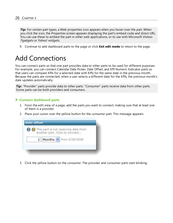**Tip:** For certain part types, a Web properties icon appears when you hover over the part. When you click the icon, the Properties screen appears displaying the part's embed code and direct URL. You can use these to embed the part in other web applications, or to use with Microsoft *Vista*or *7*gadgets or *Yahoo!* widgets.

<span id="page-25-0"></span>9. Continue to add dashboard parts to the page or click **Exit edit mode** to return to the page.

## Add Connections

You can connect parts so that one part provides data to other parts to be used for different purposes. For example, you can connect Calendar Date Picker, Date Offset, and KPI Numeric Indicator parts so that users can compare KPIs for a selected date with KPIs for the same date in the previous month. Because the parts are connected, when a user selects a different date for the KPIs, the previous month's date updates automatically.

**Tip:** "Provider" parts provide data to other parts. "Consumer" parts receive data from other parts. Some parts can be both providers and consumers.

#### **Connect dashboard parts**

- 1. From the edit view of a page, add the parts you want to connect, making sure that at least one of them is a provider.
- 2. Place your cursor over the yellow button for the consumer part. This message appears:



3. Click the yellow button on the consumer. The provider and consumer parts start blinking.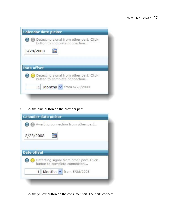|                    | Detecting signal from other part. Click<br>button to complete connection |
|--------------------|--------------------------------------------------------------------------|
| 5/28/2008          |                                                                          |
|                    |                                                                          |
|                    |                                                                          |
| <b>Date offset</b> |                                                                          |
|                    | Detecting signal from other part. Click                                  |
|                    |                                                                          |
|                    | button to complete connection                                            |
| 1                  | Months $\vee$ from 5/28/2008                                             |

4. Click the blue button on the provider part.

| 5/28/2008          |                                         |  |
|--------------------|-----------------------------------------|--|
|                    |                                         |  |
|                    |                                         |  |
| <b>Date offset</b> |                                         |  |
|                    | Detecting signal from other part, Click |  |
|                    |                                         |  |
|                    | button to complete connection           |  |

5. Click the yellow button on the consumer part. The parts connect.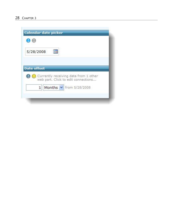| 5/28/2008          |                                       |  |
|--------------------|---------------------------------------|--|
|                    |                                       |  |
| <b>Date offset</b> |                                       |  |
|                    | Currently receiving data from 1 other |  |
|                    | web part. Click to edit connections   |  |
| $\mathbf{1}$       | Months v from 5/28/2008               |  |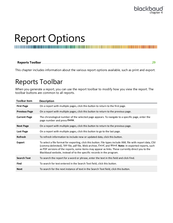# <span id="page-28-0"></span>Report Options

<span id="page-28-1"></span>This chapter includes information about the various report options available, such as print and export.

# Reports Toolbar

When you generate a report, you can use the report toolbar to modify how you view the report. The toolbar buttons are common to all reports.

| <b>Toolbar item</b>  | <b>Description</b>                                                                                                                                                                                                                                                                                                                                                                                 |
|----------------------|----------------------------------------------------------------------------------------------------------------------------------------------------------------------------------------------------------------------------------------------------------------------------------------------------------------------------------------------------------------------------------------------------|
| <b>First Page</b>    | On a report with multiple pages, click this button to return to the first page.                                                                                                                                                                                                                                                                                                                    |
| <b>Previous Page</b> | On a report with multiple pages, click this button to return to the previous page.                                                                                                                                                                                                                                                                                                                 |
| <b>Current Page</b>  | The chronological number of the selected page appears. To navigate to a specific page, enter the<br>page number and press ENTER.                                                                                                                                                                                                                                                                   |
| <b>Next Page</b>     | On a report with multiple pages, click this button to return to the previous page.                                                                                                                                                                                                                                                                                                                 |
| Last Page            | On a report with multiple pages, click this button to go to the last page.                                                                                                                                                                                                                                                                                                                         |
| <b>Refresh</b>       | To refresh information to include new or updated data, click this button.                                                                                                                                                                                                                                                                                                                          |
| <b>Export</b>        | To select a file format for exporting, click this button. File types include XML file with report data, CSV<br>(comma delimited), TIFF file, pdf file, Web archive, Excel, and Word. Note: In exported reports, such<br>as PDF versions of the reports, some items may appear as links. These currently direct you to the<br>Blackbaud website, instead of to the specific records in the program. |
| <b>Search Text</b>   | To search the report for a word or phrase, enter the text in this field and click Find.                                                                                                                                                                                                                                                                                                            |
| <b>Find</b>          | To search for text entered in the Search Text field, click this button.                                                                                                                                                                                                                                                                                                                            |
| <b>Next</b>          | To search for the next instance of text in the Search Text field, click this button.                                                                                                                                                                                                                                                                                                               |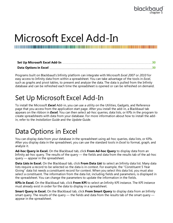

# <span id="page-29-0"></span>Microsoft Excel Add-In

Programs built on Blackbaud's Infinity platform can integrate with Microsoft *Excel 2007* or *2010* for easy access to Infinity data from within a spreadsheet. You can take advantage of the tools in *Excel*, such as graphs and pivot tables, to present and analyze the data. The data is pulled from the Infinity database and can be refreshed each time the spreadsheet is opened or can be refreshed on demand.

# <span id="page-29-1"></span>Set Up Microsoft Excel Add-In

To install the Microsoft *Excel* Add-in, you can use a utility on the Utilities, Gadgets, and Reference page that you access from the application start page. After you install the add-in, a Blackbaud tab appears on the ribbon in *Excel*. You can then select ad-hoc queries, data lists, or KPIs in the program to create spreadsheets with data from your database. For more information about how to install the addin, refer to the *Installation Guide* and the *Update Guide*.

# <span id="page-29-2"></span>Data Options in Excel

You can display data from your database in the spreadsheet using ad-hoc queries, data lists, or KPIs. After you display data in the spreadsheet, you can use the standard tools in *Excel* to format, graph, and analyze it.

**Ad-hoc Query in Excel.** On the Blackbaud tab, click **From Ad-hoc Query** to display data from an Infinity ad-hoc query. The results of the query — the fields and data from the results tab of the ad-hoc query — appear in the spreadsheet.

**Data Lists in Excel.** On the Blackbaud tab, click **From Data List** to select an Infinity data list. Many data lists require a record to be selected so the data is in context. For example, the "Constituent 5 Year Giving" data list needs a constituent record for context. When you select this data list, you must also select a constituent. The information from the data list, including fields and parameters, is displayed in the spreadsheet. You can change the parameters to update the information in the fields.

**KPIs in Excel.** On the Blackbaud tab, click **From KPI** to select an Infinity KPI instance. The KPI instance must already exist in order for the data to display in a spreadsheet.

**Smart Query in Excel.** On the Blackbaud tab, click **From Smart Query** to display data from an Infinity smart query. The results of the query — the fields and data from the results tab of the smart query appear in the spreadsheet.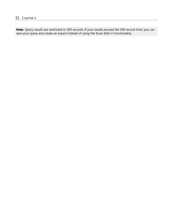*Note:* Query results are restricted to 500 records. If your results exceed the 500 record limit, you can save your query and create an export instead of using the Excel Add-in functionality.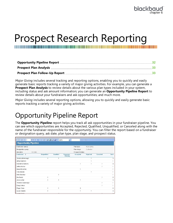# <span id="page-31-0"></span>Prospect Research Reporting

*Major Giving* includes several tracking and reporting options, enabling you to quickly and easily generate basic reports tracking a variety of major giving activities. For example, you can generate a **Prospect Plan Analysis** to review details about the various plan types included in your system, including status and ask amount information; you can generate an **Opportunity Pipeline Report** to review details about your fundraisers and ask opportunities; and much more.

<span id="page-31-1"></span>*Major Giving* includes several reporting options, allowing you to quickly and easily generate basic reports tracking a variety of major giving activities.

# Opportunity Pipeline Report

The **Opportunity Pipeline** report helps you track all ask opportunities in your fundraiser pipeline. You can see which opportunities are Accepted, Rejected, Qualified, Unqualified, or Canceled along with the name of the fundraiser responsible for the opportunity. You can filter the report based on a fundraiser or designation query, ask date, plan type, plan stage, and prospect status.

| H<br>$\overline{1}$<br>提前         | of $2 \nightharpoonup$<br>$\blacktriangleright$ | $\odot$<br>41           | $\blacksquare$<br>100% | $\overline{ }$             |                | Find   Next     |          |                |  |  |
|-----------------------------------|-------------------------------------------------|-------------------------|------------------------|----------------------------|----------------|-----------------|----------|----------------|--|--|
| <b>Opportunity Pipeline</b>       |                                                 |                         |                        |                            |                |                 |          |                |  |  |
| Fundraiser query:                 |                                                 |                         |                        |                            | Plan type:     | Major giving    |          |                |  |  |
| Designation query:                |                                                 |                         |                        |                            | Plan stage:    | Cultivation     |          |                |  |  |
| Ask date:                         | All dates                                       | <b>Prospect status:</b> |                        |                            |                |                 |          |                |  |  |
| Fundraiser :                      |                                                 | <b>Unqualified</b>      | Qualified              | <b>Response</b><br>Pendina | Accepted       | <b>Rejected</b> | Canceled | <b>Total</b>   |  |  |
| Zachery Allenbaugh                |                                                 |                         |                        |                            |                |                 |          | 3              |  |  |
| Arthur Andrews                    |                                                 |                         |                        |                            |                |                 |          |                |  |  |
| Katherine Andrews                 |                                                 |                         |                        |                            |                |                 |          | 3              |  |  |
| Jeffrey Ashton                    |                                                 |                         |                        |                            |                |                 |          |                |  |  |
| Meredith Ashton                   |                                                 |                         |                        |                            | $\overline{1}$ |                 |          |                |  |  |
| Orla Autumn                       |                                                 |                         |                        |                            |                |                 |          |                |  |  |
| Kirby Beckner                     |                                                 |                         | 1                      |                            |                |                 |          |                |  |  |
| Mia Bently                        |                                                 | 1                       |                        |                            |                |                 |          | $\overline{2}$ |  |  |
| Jessica Biel                      |                                                 |                         | 1                      |                            | 1              |                 |          | 3              |  |  |
| Theresa Cavanaugh                 |                                                 |                         |                        |                            |                |                 | 1        |                |  |  |
| Doug Cohen                        |                                                 |                         |                        |                            |                |                 |          |                |  |  |
| Roger Cone                        |                                                 | $\mathbf{1}$            | 1                      |                            | $\overline{2}$ |                 |          |                |  |  |
| Louis Daniels                     |                                                 | 1                       |                        |                            |                |                 |          | 3              |  |  |
| the country of the country of the |                                                 |                         | a.                     |                            |                |                 | $\sim$   |                |  |  |